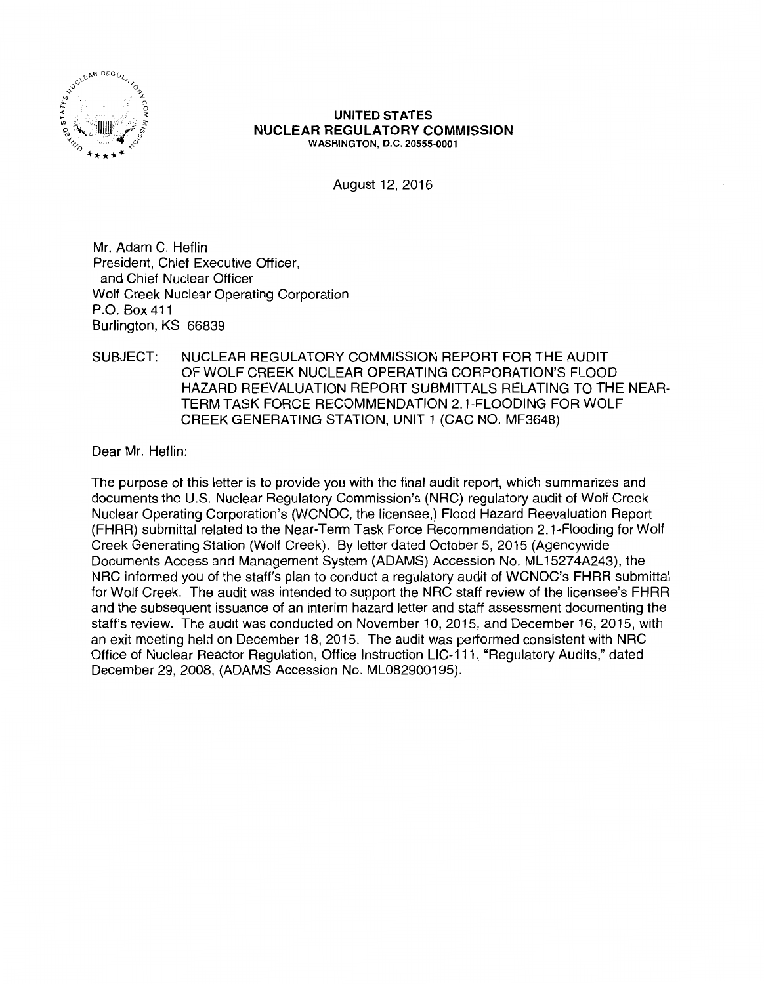

#### UNITED STATES NUCLEAR REGULATORY COMMISSION WASHINGTON, D.C. 20555-0001

August 12, 2016

Mr. Adam C. Heflin President, Chief Executive Officer, and Chief Nuclear Officer Wolf Creek Nuclear Operating Corporation P.O. Box 411 Burlington, KS 66839

### SUBJECT: NUCLEAR REGULATORY COMMISSION REPORT FOR THE AUDIT OF WOLF CREEK NUCLEAR OPERATING CORPORATION'S FLOOD HAZARD REEVALUATION REPORT SUBMITTALS RELATING TO THE NEAR-TERM TASK FORCE RECOMMENDATION 2.1-FLOODING FOR WOLF CREEK GENERATING STATION, UNIT 1 (CAC NO. MF3648)

Dear Mr. Heflin:

The purpose of this letter is to provide you with the final audit report, which summarizes and documents the U.S. Nuclear Regulatory Commission's (NRG) regulatory audit of Wolf Creek Nuclear Operating Corporation's (WCNOC, the licensee,) Flood Hazard Reevaluation Report (FHRR) submittal related to the Near-Term Task Force Recommendation 2.1-Flooding for Wolf Creek Generating Station (Wolf Creek). By letter dated October 5, 2015 (Agencywide Documents Access and Management System (ADAMS) Accession No. ML 15274A243), the NRG informed you of the staff's plan to conduct a regulatory audit of WCNOC's FHRR submittal for Wolf Creek. The audit was intended to support the NRG staff review of the licensee's FHRR and the subsequent issuance of an interim hazard letter and staff assessment documenting the staff's review. The audit was conducted on November 10, 2015, and December 16, 2015, with an exit meeting held on December 18, 2015. The audit was performed consistent with NRG Office of Nuclear Reactor Regulation, Office Instruction LIC-111, "Regulatory Audits," dated December 29, 2008, (ADAMS Accession No. ML082900195).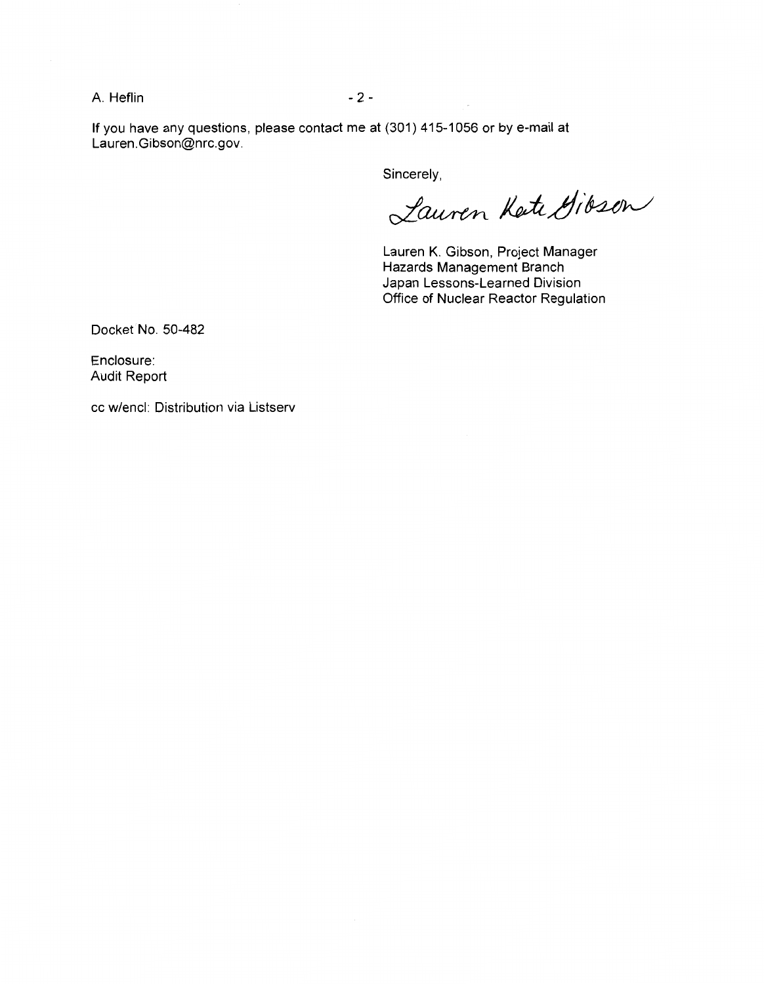A. Heflin - 2 -

If you have any questions, please contact me at (301) 415-1056 or by e-mail at Lauren.Gibson@nrc.gov.

Sincerely,

Lauren Kete Gibson

Lauren K. Gibson, Project Manager Hazards Management Branch Japan Lessons-Learned Division Office of Nuclear Reactor Regulation

Docket No. 50-482

Enclosure: Audit Report

cc w/encl: Distribution via Listserv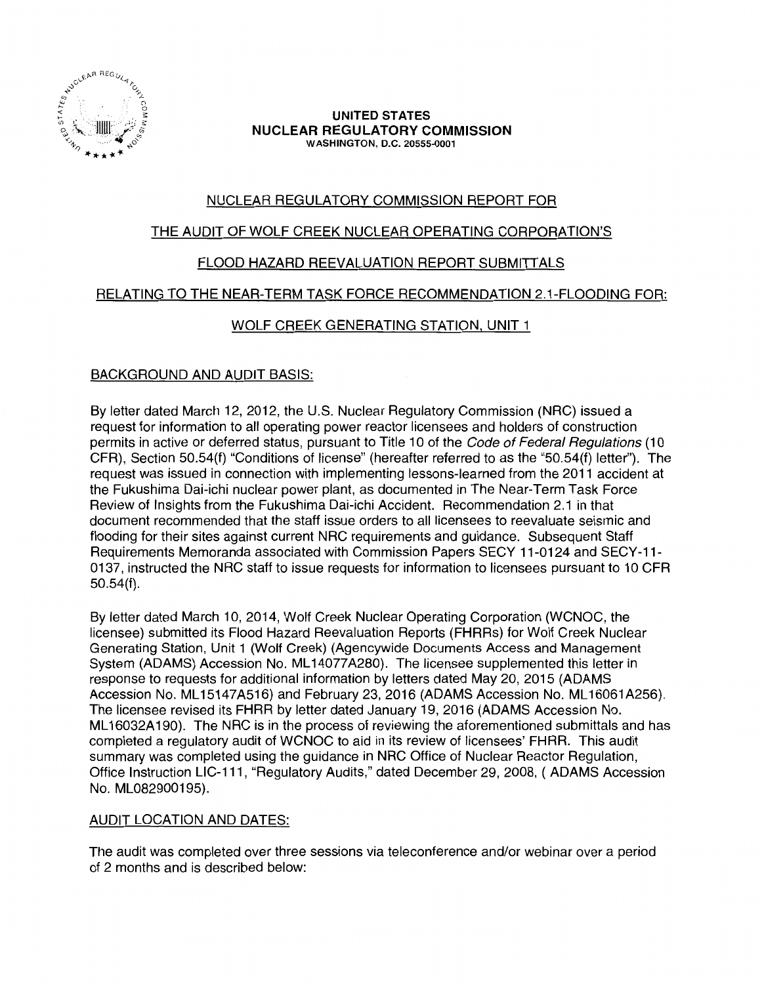

#### **UNITED STATES NUCLEAR REGULATORY COMMISSION**  WASHINGTON, D.C. 20555-0001

# NUCLEAR REGULATORY COMMISSION REPORT FOR

## THE AUDIT OF WOLF CREEK NUCLEAR OPERATING CORPORATION'S

# FLOOD HAZARD REEVALUATION REPORT SUBMITTALS

## RELATING TO THE NEAR-TERM TASK FORCE RECOMMENDATION 2.1-FLOODING FOR:

## WOLF CREEK GENERATING STATION, UNIT 1

## BACKGROUND AND AUDIT BASIS:

By letter dated March 12, 2012, the U.S. Nuclear Regulatory Commission (NRC) issued a request for information to all operating power reactor licensees and holders of construction permits in active or deferred status, pursuant to Title 10 of the Code of Federal Regulations (10 CFR), Section 50.54(f) "Conditions of license" (hereafter referred to as the "50.54(f) letter"). The request was issued in connection with implementing lessons-learned from the 2011 accident at the Fukushima Dai-ichi nuclear power plant, as documented in The Near-Term Task Force Review of Insights from the Fukushima Dai-ichi Accident. Recommendation 2.1 in that document recommended that the staff issue orders to all licensees to reevaluate seismic and flooding for their sites against current NRC requirements and guidance. Subsequent Staff Requirements Memoranda associated with Commission Papers SECY 11-0124 and SECY-11- 0137, instructed the NRC staff to issue requests for information to licensees pursuant to 10 CFR 50.54(f).

By letter dated March 10, 2014, Wolf Creek Nuclear Operating Corporation (WCNOC, the licensee) submitted its Flood Hazard Reevaluation Reports (FHRRs) for Wolf Creek Nuclear Generating Station, Unit 1 (Wolf Creek) (Agencywide Documents Access and Management System (ADAMS) Accession No. ML 14077 A280). The licensee supplemented this letter in response to requests for additional information by letters dated May 20, 2015 (ADAMS Accession No. ML 15147A516) and February 23, 2016 (ADAMS Accession No. ML 16061A256). The licensee revised its FHRR by letter dated January 19, 2016 (ADAMS Accession No. ML 16032A 190). The NRC is in the process of reviewing the aforementioned submittals and has completed a regulatory audit of WCNOC to aid in its review of licensees' FHRR. This audit summary was completed using the guidance in NRC Office of Nuclear Reactor Regulation, Office Instruction LIC-111, "Regulatory Audits," dated December 29, 2008, (ADAMS Accession No. ML082900195).

## AUDIT LOCATION AND DATES:

The audit was completed over three sessions via teleconference and/or webinar over a period of 2 months and is described below: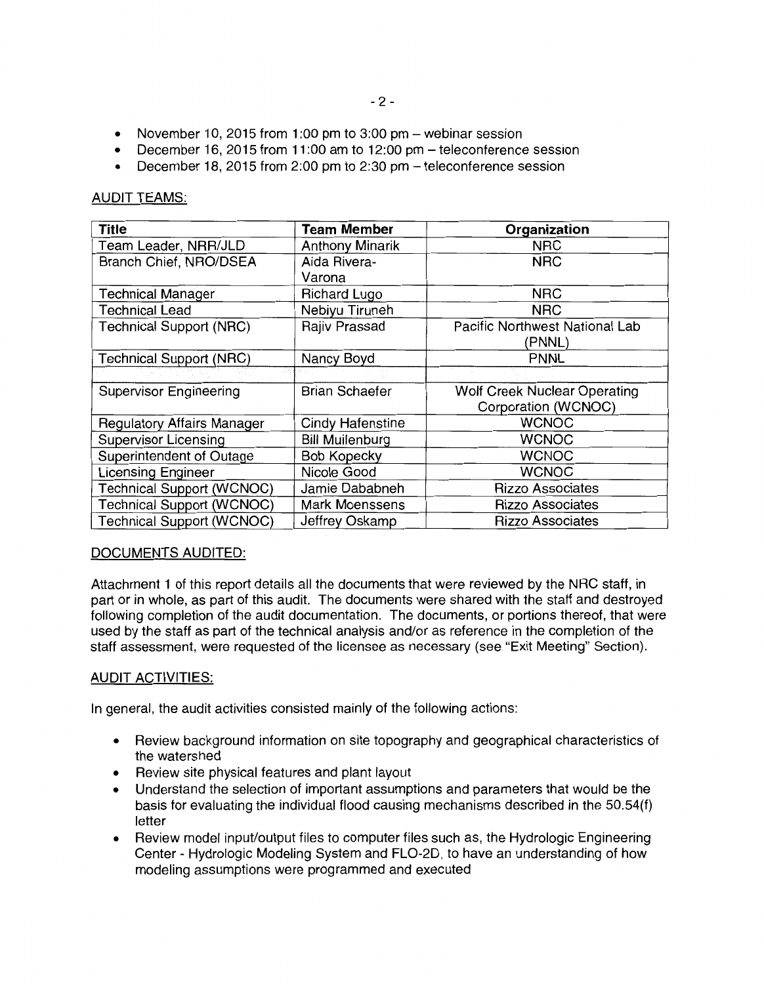- November 10, 2015 from 1:00 pm to 3:00 pm  $-$  webinar session
- December 16, 2015 from 11 :00 am to 12:00 pm teleconference session
- December 18, 2015 from 2:00 pm to 2:30 pm teleconference session

#### AUDIT TEAMS:

| <b>Title</b>                      | <b>Team Member</b>     | Organization                   |
|-----------------------------------|------------------------|--------------------------------|
| Team Leader, NRR/JLD              | <b>Anthony Minarik</b> | <b>NRC</b>                     |
| Branch Chief, NRO/DSEA            | Aida Rivera-           | <b>NRC</b>                     |
|                                   | Varona                 |                                |
| <b>Technical Manager</b>          | <b>Richard Lugo</b>    | <b>NRC</b>                     |
| <b>Technical Lead</b>             | Nebiyu Tiruneh         | <b>NRC</b>                     |
| <b>Technical Support (NRC)</b>    | Rajiv Prassad          | Pacific Northwest National Lab |
|                                   |                        | (PNNL)                         |
| <b>Technical Support (NRC)</b>    | Nancy Boyd             | <b>PNNL</b>                    |
|                                   |                        |                                |
| <b>Supervisor Engineering</b>     | <b>Brian Schaefer</b>  | Wolf Creek Nuclear Operating   |
|                                   |                        | Corporation (WCNOC)            |
| <b>Regulatory Affairs Manager</b> | Cindy Hafenstine       | <b>WCNOC</b>                   |
| <b>Supervisor Licensing</b>       | <b>Bill Muilenburg</b> | <b>WCNOC</b>                   |
| Superintendent of Outage          | <b>Bob Kopecky</b>     | <b>WCNOC</b>                   |
| <b>Licensing Engineer</b>         | Nicole Good            | <b>WCNOC</b>                   |
| <b>Technical Support (WCNOC)</b>  | Jamie Dababneh         | <b>Rizzo Associates</b>        |
| <b>Technical Support (WCNOC)</b>  | Mark Moenssens         | <b>Rizzo Associates</b>        |
| <b>Technical Support (WCNOC)</b>  | Jeffrey Oskamp         | <b>Rizzo Associates</b>        |

### DOCUMENTS AUDITED:

Attachment 1 of this report details all the documents that were reviewed by the NRC staff, in part or in whole, as part of this audit. The documents were shared with the staff and destroyed following completion of the audit documentation. The documents, or portions thereof, that were used by the staff as part of the technical analysis and/or as reference in the completion of the staff assessment, were requested of the licensee as necessary (see "Exit Meeting" Section).

### AUDIT ACTIVITIES:

In general, the audit activities consisted mainly of the following actions:

- Review background information on site topography and geographical characteristics of the watershed
- Review site physical features and plant layout
- Understand the selection of important assumptions and parameters that would be the basis for evaluating the individual flood causing mechanisms described in the 50.54(f) letter
- Review model input/output files to computer files such as, the Hydrologic Engineering Center - Hydrologic Modeling System and FL0-2D, to have an understanding of how modeling assumptions were programmed and executed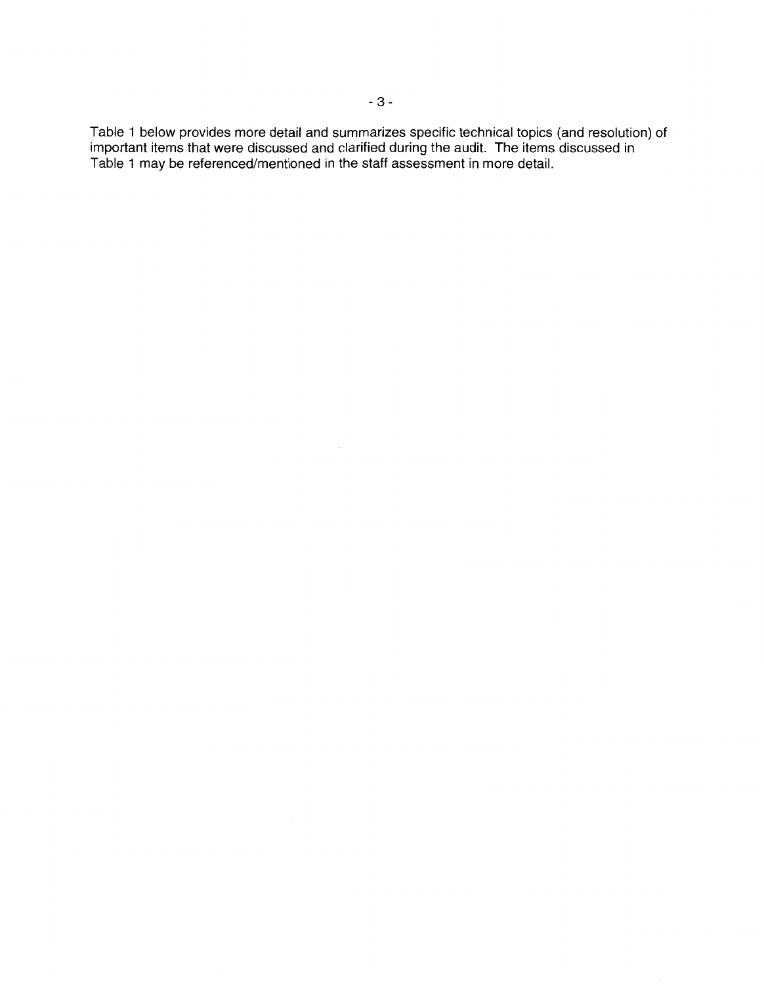Table 1 below provides more detail and summarizes specific technical topics (and resolution) of important items that were discussed and clarified during the audit. The items discussed in Table 1 may be referenced/mentioned in the staff assessment in more detail.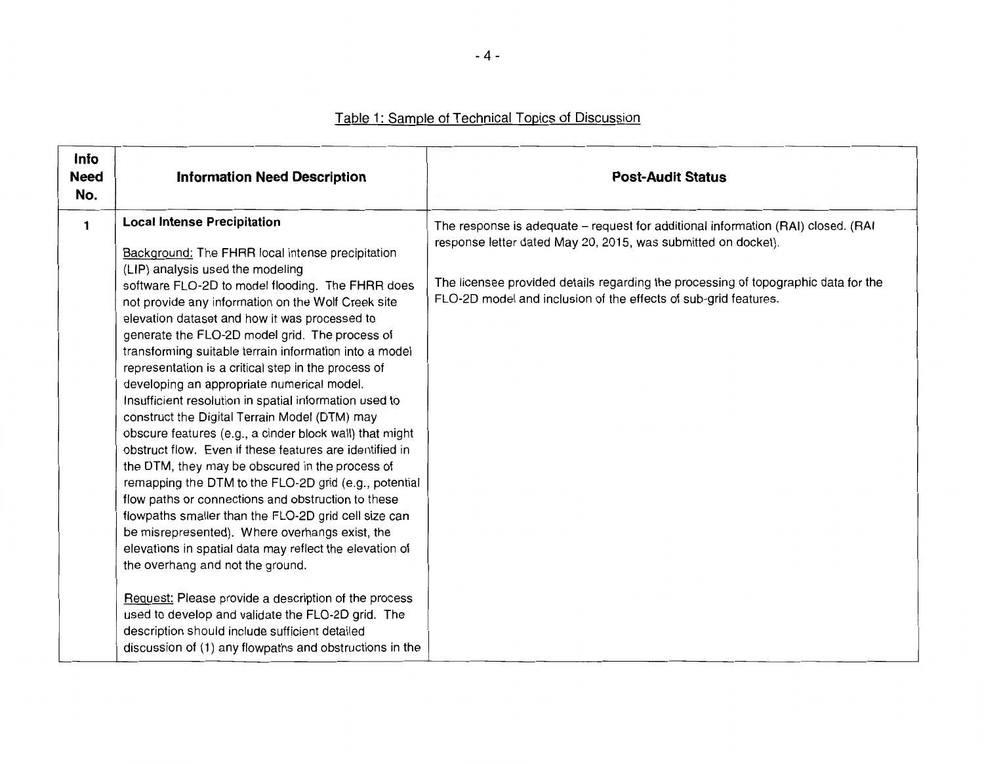| Info<br><b>Need</b><br>No. | <b>Information Need Description</b>                                                                                                                                                                                                                                                                                                                                                                                                                                                                                                                                                                                                                                                                                                                                                                                                                                                                                                                                                                                                                                                                                                                                                                                                                                                                                                          | <b>Post-Audit Status</b>                                                                                                                                                                                                                                                                                   |
|----------------------------|----------------------------------------------------------------------------------------------------------------------------------------------------------------------------------------------------------------------------------------------------------------------------------------------------------------------------------------------------------------------------------------------------------------------------------------------------------------------------------------------------------------------------------------------------------------------------------------------------------------------------------------------------------------------------------------------------------------------------------------------------------------------------------------------------------------------------------------------------------------------------------------------------------------------------------------------------------------------------------------------------------------------------------------------------------------------------------------------------------------------------------------------------------------------------------------------------------------------------------------------------------------------------------------------------------------------------------------------|------------------------------------------------------------------------------------------------------------------------------------------------------------------------------------------------------------------------------------------------------------------------------------------------------------|
| $\mathbf{1}$               | <b>Local Intense Precipitation</b><br>Background: The FHRR local intense precipitation<br>(LIP) analysis used the modeling<br>software FLO-2D to model flooding. The FHRR does<br>not provide any information on the Wolf Creek site<br>elevation dataset and how it was processed to<br>generate the FLO-2D model grid. The process of<br>transforming suitable terrain information into a model<br>representation is a critical step in the process of<br>developing an appropriate numerical model.<br>Insufficient resolution in spatial information used to<br>construct the Digital Terrain Model (DTM) may<br>obscure features (e.g., a cinder block wall) that might<br>obstruct flow. Even if these features are identified in<br>the DTM, they may be obscured in the process of<br>remapping the DTM to the FLO-2D grid (e.g., potential<br>flow paths or connections and obstruction to these<br>flowpaths smaller than the FLO-2D grid cell size can<br>be misrepresented). Where overhangs exist, the<br>elevations in spatial data may reflect the elevation of<br>the overhang and not the ground.<br>Request: Please provide a description of the process<br>used to develop and validate the FLO-2D grid. The<br>description should include sufficient detailed<br>discussion of (1) any flowpaths and obstructions in the | The response is adequate - request for additional information (RAI) closed. (RAI<br>response letter dated May 20, 2015, was submitted on docket).<br>The licensee provided details regarding the processing of topographic data for the<br>FLO-2D model and inclusion of the effects of sub-grid features. |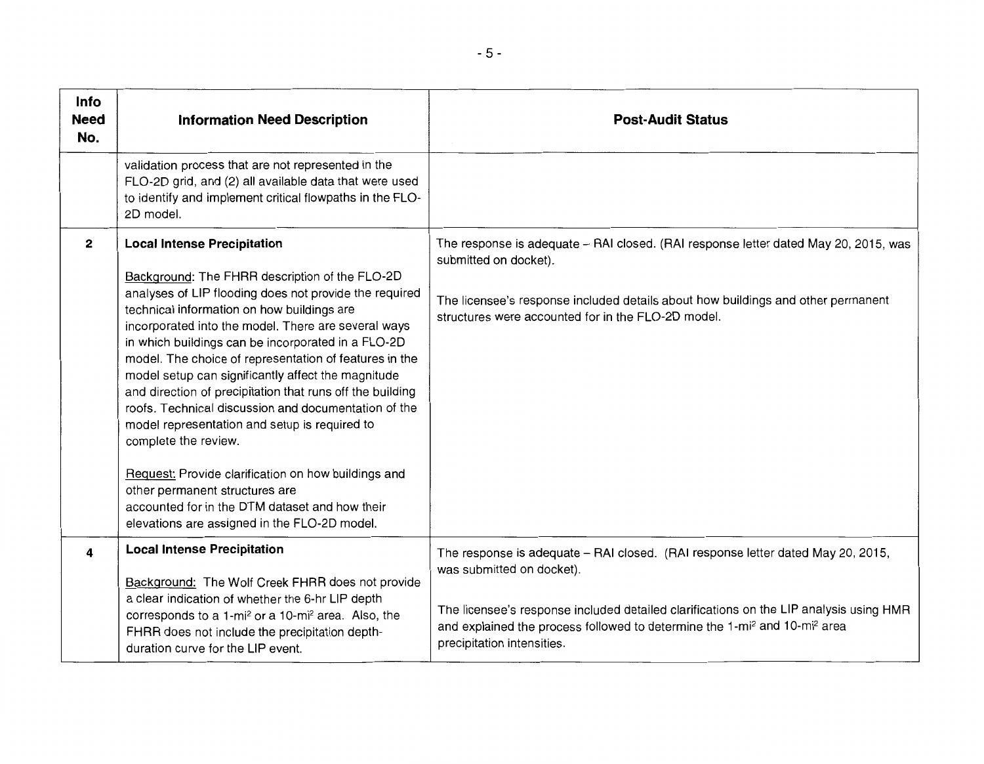| <b>Info</b><br><b>Need</b><br>No. | <b>Information Need Description</b>                                                                                                                                                                                                                                                                                                                                                                                                                                                                                                                                                                                                                                                                                                                                                                                | <b>Post-Audit Status</b>                                                                                                                                                                                                                                                                                                                  |
|-----------------------------------|--------------------------------------------------------------------------------------------------------------------------------------------------------------------------------------------------------------------------------------------------------------------------------------------------------------------------------------------------------------------------------------------------------------------------------------------------------------------------------------------------------------------------------------------------------------------------------------------------------------------------------------------------------------------------------------------------------------------------------------------------------------------------------------------------------------------|-------------------------------------------------------------------------------------------------------------------------------------------------------------------------------------------------------------------------------------------------------------------------------------------------------------------------------------------|
|                                   | validation process that are not represented in the<br>FLO-2D grid, and (2) all available data that were used<br>to identify and implement critical flowpaths in the FLO-<br>2D model.                                                                                                                                                                                                                                                                                                                                                                                                                                                                                                                                                                                                                              |                                                                                                                                                                                                                                                                                                                                           |
| $\mathbf{2}$                      | <b>Local Intense Precipitation</b><br>Background: The FHRR description of the FLO-2D<br>analyses of LIP flooding does not provide the required<br>technical information on how buildings are<br>incorporated into the model. There are several ways<br>in which buildings can be incorporated in a FLO-2D<br>model. The choice of representation of features in the<br>model setup can significantly affect the magnitude<br>and direction of precipitation that runs off the building<br>roofs. Technical discussion and documentation of the<br>model representation and setup is required to<br>complete the review.<br>Request: Provide clarification on how buildings and<br>other permanent structures are<br>accounted for in the DTM dataset and how their<br>elevations are assigned in the FLO-2D model. | The response is adequate - RAI closed. (RAI response letter dated May 20, 2015, was<br>submitted on docket).<br>The licensee's response included details about how buildings and other permanent<br>structures were accounted for in the FLO-2D model.                                                                                    |
| 4                                 | <b>Local Intense Precipitation</b><br>Background: The Wolf Creek FHRR does not provide<br>a clear indication of whether the 6-hr LIP depth<br>corresponds to a 1-mi <sup>2</sup> or a 10-mi <sup>2</sup> area. Also, the<br>FHRR does not include the precipitation depth-<br>duration curve for the LIP event.                                                                                                                                                                                                                                                                                                                                                                                                                                                                                                    | The response is adequate - RAI closed. (RAI response letter dated May 20, 2015,<br>was submitted on docket).<br>The licensee's response included detailed clarifications on the LIP analysis using HMR<br>and explained the process followed to determine the 1-mi <sup>2</sup> and 10-mi <sup>2</sup> area<br>precipitation intensities. |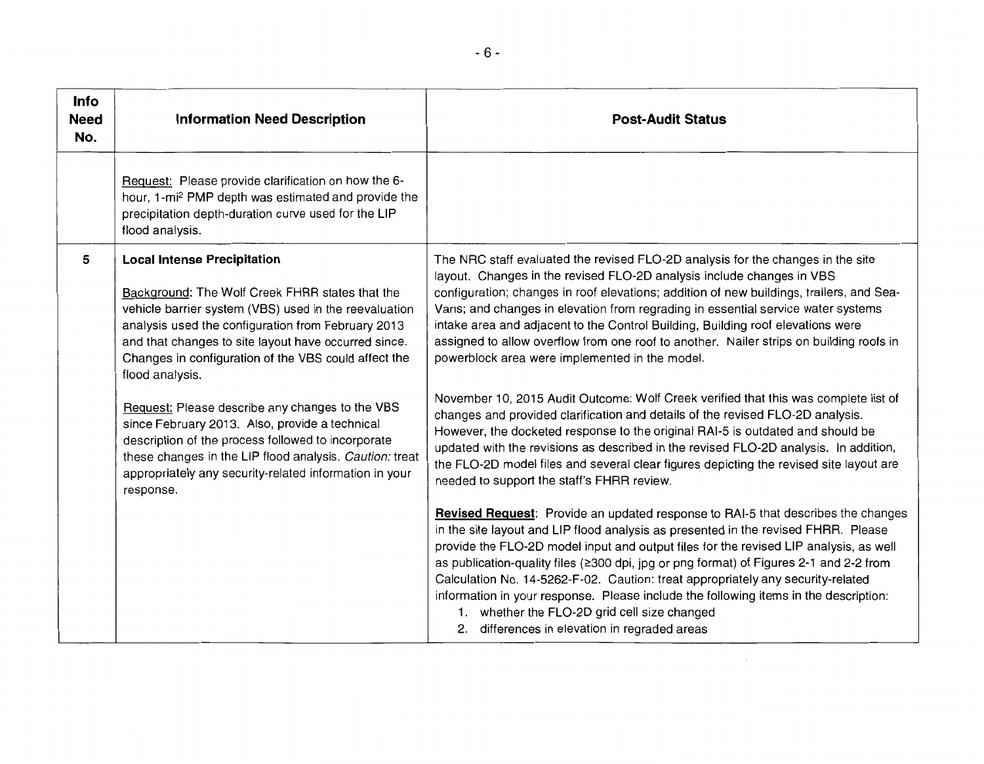| <b>Info</b><br><b>Need</b><br>No. | <b>Information Need Description</b>                                                                                                                                                                                                                                                                                                     | <b>Post-Audit Status</b>                                                                                                                                                                                                                                                                                                                                                                                                                                                                                                                                                                                                              |
|-----------------------------------|-----------------------------------------------------------------------------------------------------------------------------------------------------------------------------------------------------------------------------------------------------------------------------------------------------------------------------------------|---------------------------------------------------------------------------------------------------------------------------------------------------------------------------------------------------------------------------------------------------------------------------------------------------------------------------------------------------------------------------------------------------------------------------------------------------------------------------------------------------------------------------------------------------------------------------------------------------------------------------------------|
|                                   | Request: Please provide clarification on how the 6-<br>hour, 1-mi <sup>2</sup> PMP depth was estimated and provide the<br>precipitation depth-duration curve used for the LIP<br>flood analysis.                                                                                                                                        |                                                                                                                                                                                                                                                                                                                                                                                                                                                                                                                                                                                                                                       |
| 5                                 | <b>Local Intense Precipitation</b><br>Background: The Wolf Creek FHRR states that the<br>vehicle barrier system (VBS) used in the reevaluation<br>analysis used the configuration from February 2013<br>and that changes to site layout have occurred since.<br>Changes in configuration of the VBS could affect the<br>flood analysis. | The NRC staff evaluated the revised FLO-2D analysis for the changes in the site<br>layout. Changes in the revised FLO-2D analysis include changes in VBS<br>configuration; changes in roof elevations; addition of new buildings, trailers, and Sea-<br>Vans; and changes in elevation from regrading in essential service water systems<br>intake area and adjacent to the Control Building, Building roof elevations were<br>assigned to allow overflow from one roof to another. Nailer strips on building roofs in<br>powerblock area were implemented in the model.                                                              |
|                                   | Request: Please describe any changes to the VBS<br>since February 2013. Also, provide a technical<br>description of the process followed to incorporate<br>these changes in the LIP flood analysis. Caution: treat<br>appropriately any security-related information in your<br>response.                                               | November 10, 2015 Audit Outcome: Wolf Creek verified that this was complete list of<br>changes and provided clarification and details of the revised FLO-2D analysis.<br>However, the docketed response to the original RAI-5 is outdated and should be<br>updated with the revisions as described in the revised FLO-2D analysis. In addition,<br>the FLO-2D model files and several clear figures depicting the revised site layout are<br>needed to support the staff's FHRR review.                                                                                                                                               |
|                                   |                                                                                                                                                                                                                                                                                                                                         | Revised Request: Provide an updated response to RAI-5 that describes the changes<br>in the site layout and LIP flood analysis as presented in the revised FHRR. Please<br>provide the FLO-2D model input and output files for the revised LIP analysis, as well<br>as publication-quality files (≥300 dpi, jpg or png format) of Figures 2-1 and 2-2 from<br>Calculation No. 14-5262-F-02. Caution: treat appropriately any security-related<br>information in your response. Please include the following items in the description:<br>1. whether the FLO-2D grid cell size changed<br>2. differences in elevation in regraded areas |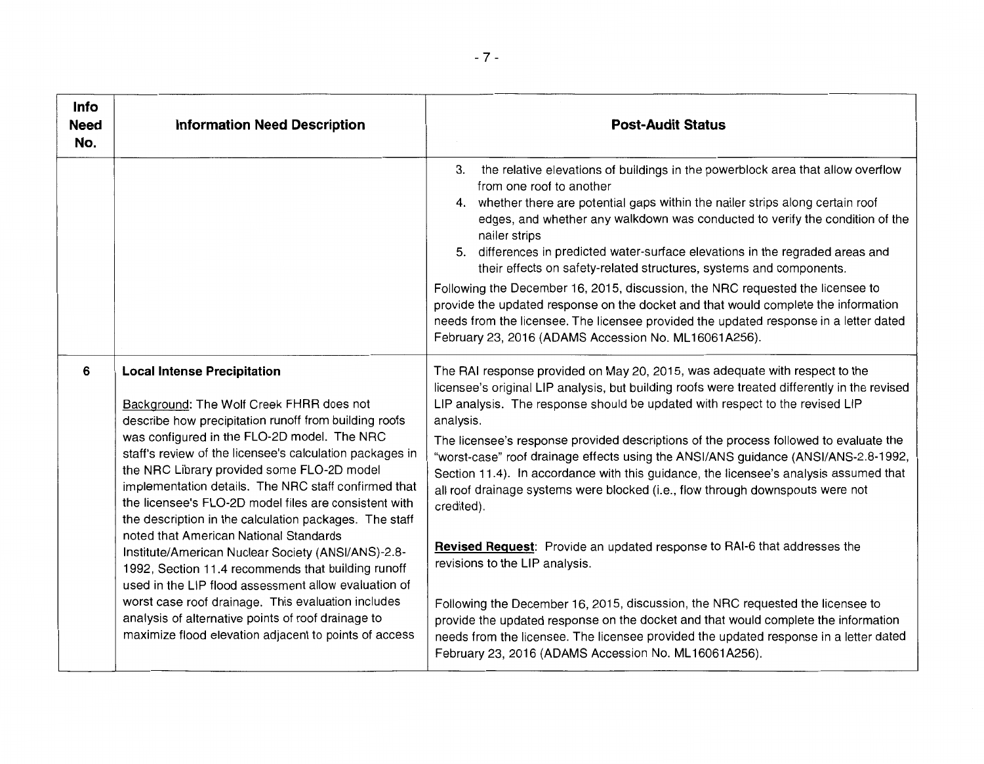| Info<br><b>Need</b><br>No. | <b>Information Need Description</b>                                                                                                                                                                                                                                                                                                                                                                                                                                                                                                                                                                                                                                                                                                                                                                                                                            | <b>Post-Audit Status</b>                                                                                                                                                                                                                                                                                                                                                                                                                                                                                                                                                                                                                                                                                                                                                                                                                                                                                                                                                                                                                                                                |
|----------------------------|----------------------------------------------------------------------------------------------------------------------------------------------------------------------------------------------------------------------------------------------------------------------------------------------------------------------------------------------------------------------------------------------------------------------------------------------------------------------------------------------------------------------------------------------------------------------------------------------------------------------------------------------------------------------------------------------------------------------------------------------------------------------------------------------------------------------------------------------------------------|-----------------------------------------------------------------------------------------------------------------------------------------------------------------------------------------------------------------------------------------------------------------------------------------------------------------------------------------------------------------------------------------------------------------------------------------------------------------------------------------------------------------------------------------------------------------------------------------------------------------------------------------------------------------------------------------------------------------------------------------------------------------------------------------------------------------------------------------------------------------------------------------------------------------------------------------------------------------------------------------------------------------------------------------------------------------------------------------|
|                            |                                                                                                                                                                                                                                                                                                                                                                                                                                                                                                                                                                                                                                                                                                                                                                                                                                                                | the relative elevations of buildings in the powerblock area that allow overflow<br>З.<br>from one roof to another<br>4. whether there are potential gaps within the nailer strips along certain roof<br>edges, and whether any walkdown was conducted to verify the condition of the<br>nailer strips<br>5. differences in predicted water-surface elevations in the regraded areas and<br>their effects on safety-related structures, systems and components.                                                                                                                                                                                                                                                                                                                                                                                                                                                                                                                                                                                                                          |
|                            |                                                                                                                                                                                                                                                                                                                                                                                                                                                                                                                                                                                                                                                                                                                                                                                                                                                                | Following the December 16, 2015, discussion, the NRC requested the licensee to<br>provide the updated response on the docket and that would complete the information<br>needs from the licensee. The licensee provided the updated response in a letter dated<br>February 23, 2016 (ADAMS Accession No. ML16061A256).                                                                                                                                                                                                                                                                                                                                                                                                                                                                                                                                                                                                                                                                                                                                                                   |
| 6                          | <b>Local Intense Precipitation</b><br>Background: The Wolf Creek FHRR does not<br>describe how precipitation runoff from building roofs<br>was configured in the FLO-2D model. The NRC<br>staff's review of the licensee's calculation packages in<br>the NRC Library provided some FLO-2D model<br>implementation details. The NRC staff confirmed that<br>the licensee's FLO-2D model files are consistent with<br>the description in the calculation packages. The staff<br>noted that American National Standards<br>Institute/American Nuclear Society (ANSI/ANS)-2.8-<br>1992, Section 11.4 recommends that building runoff<br>used in the LIP flood assessment allow evaluation of<br>worst case roof drainage. This evaluation includes<br>analysis of alternative points of roof drainage to<br>maximize flood elevation adjacent to points of access | The RAI response provided on May 20, 2015, was adequate with respect to the<br>licensee's original LIP analysis, but building roofs were treated differently in the revised<br>LIP analysis. The response should be updated with respect to the revised LIP<br>analysis.<br>The licensee's response provided descriptions of the process followed to evaluate the<br>"worst-case" roof drainage effects using the ANSI/ANS guidance (ANSI/ANS-2.8-1992,<br>Section 11.4). In accordance with this guidance, the licensee's analysis assumed that<br>all roof drainage systems were blocked (i.e., flow through downspouts were not<br>credited).<br>Revised Request: Provide an updated response to RAI-6 that addresses the<br>revisions to the LIP analysis.<br>Following the December 16, 2015, discussion, the NRC requested the licensee to<br>provide the updated response on the docket and that would complete the information<br>needs from the licensee. The licensee provided the updated response in a letter dated<br>February 23, 2016 (ADAMS Accession No. ML16061A256). |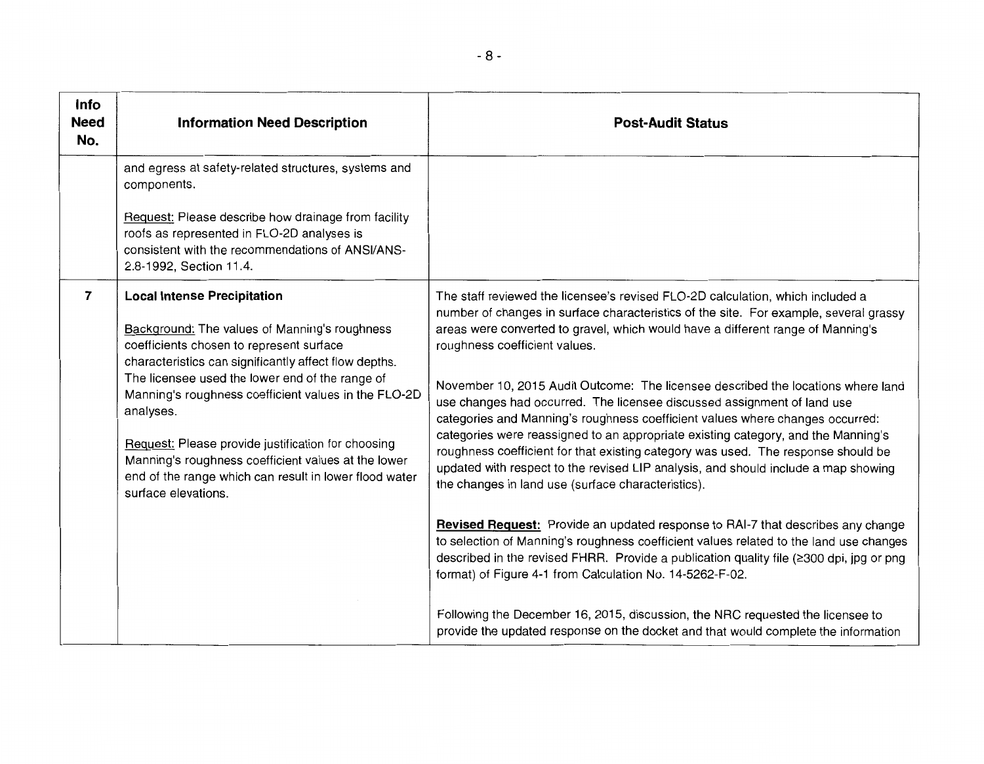| Info<br><b>Need</b><br>No. | <b>Information Need Description</b>                                                                                                                                                                                                                                                                                                                                                                                                                                                                            | <b>Post-Audit Status</b>                                                                                                                                                                                                                                                                                                                                                                                                                                                                                                                                                                                                                                                                                                                                                                                                                                          |
|----------------------------|----------------------------------------------------------------------------------------------------------------------------------------------------------------------------------------------------------------------------------------------------------------------------------------------------------------------------------------------------------------------------------------------------------------------------------------------------------------------------------------------------------------|-------------------------------------------------------------------------------------------------------------------------------------------------------------------------------------------------------------------------------------------------------------------------------------------------------------------------------------------------------------------------------------------------------------------------------------------------------------------------------------------------------------------------------------------------------------------------------------------------------------------------------------------------------------------------------------------------------------------------------------------------------------------------------------------------------------------------------------------------------------------|
|                            | and egress at safety-related structures, systems and<br>components.                                                                                                                                                                                                                                                                                                                                                                                                                                            |                                                                                                                                                                                                                                                                                                                                                                                                                                                                                                                                                                                                                                                                                                                                                                                                                                                                   |
|                            | Request: Please describe how drainage from facility<br>roofs as represented in FLO-2D analyses is<br>consistent with the recommendations of ANSI/ANS-<br>2.8-1992, Section 11.4.                                                                                                                                                                                                                                                                                                                               |                                                                                                                                                                                                                                                                                                                                                                                                                                                                                                                                                                                                                                                                                                                                                                                                                                                                   |
| 7                          | <b>Local Intense Precipitation</b><br>Background: The values of Manning's roughness<br>coefficients chosen to represent surface<br>characteristics can significantly affect flow depths.<br>The licensee used the lower end of the range of<br>Manning's roughness coefficient values in the FLO-2D<br>analyses.<br>Request: Please provide justification for choosing<br>Manning's roughness coefficient values at the lower<br>end of the range which can result in lower flood water<br>surface elevations. | The staff reviewed the licensee's revised FLO-2D calculation, which included a<br>number of changes in surface characteristics of the site. For example, several grassy<br>areas were converted to gravel, which would have a different range of Manning's<br>roughness coefficient values.<br>November 10, 2015 Audit Outcome: The licensee described the locations where land<br>use changes had occurred. The licensee discussed assignment of land use<br>categories and Manning's roughness coefficient values where changes occurred:<br>categories were reassigned to an appropriate existing category, and the Manning's<br>roughness coefficient for that existing category was used. The response should be<br>updated with respect to the revised LIP analysis, and should include a map showing<br>the changes in land use (surface characteristics). |
|                            |                                                                                                                                                                                                                                                                                                                                                                                                                                                                                                                | <b>Revised Request:</b> Provide an updated response to RAI-7 that describes any change<br>to selection of Manning's roughness coefficient values related to the land use changes<br>described in the revised FHRR. Provide a publication quality file (≥300 dpi, jpg or png<br>format) of Figure 4-1 from Calculation No. 14-5262-F-02.                                                                                                                                                                                                                                                                                                                                                                                                                                                                                                                           |
|                            |                                                                                                                                                                                                                                                                                                                                                                                                                                                                                                                | Following the December 16, 2015, discussion, the NRC requested the licensee to<br>provide the updated response on the docket and that would complete the information                                                                                                                                                                                                                                                                                                                                                                                                                                                                                                                                                                                                                                                                                              |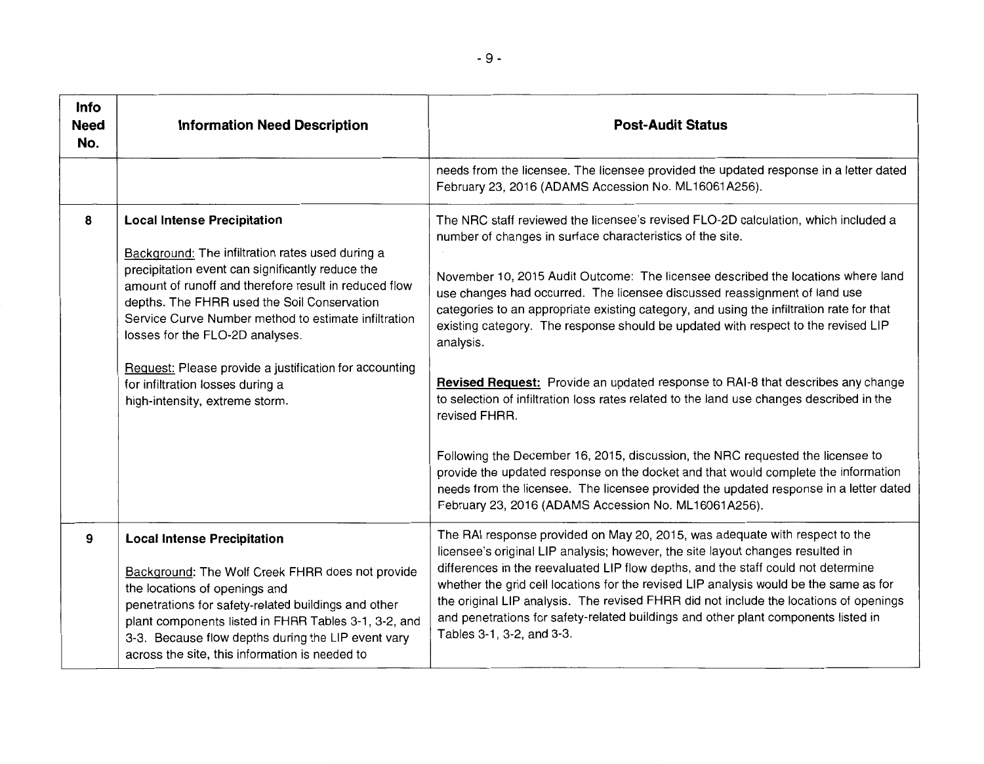| Info<br><b>Need</b><br>No. | <b>Information Need Description</b>                                                                                                                                                                                                                                                                                                                                                                                                                                           | <b>Post-Audit Status</b>                                                                                                                                                                                                                                                                                                                                                                                                                                                                                                                                                                                                                                                                                                                                                                                                                                                                                                                                                                                                                |
|----------------------------|-------------------------------------------------------------------------------------------------------------------------------------------------------------------------------------------------------------------------------------------------------------------------------------------------------------------------------------------------------------------------------------------------------------------------------------------------------------------------------|-----------------------------------------------------------------------------------------------------------------------------------------------------------------------------------------------------------------------------------------------------------------------------------------------------------------------------------------------------------------------------------------------------------------------------------------------------------------------------------------------------------------------------------------------------------------------------------------------------------------------------------------------------------------------------------------------------------------------------------------------------------------------------------------------------------------------------------------------------------------------------------------------------------------------------------------------------------------------------------------------------------------------------------------|
|                            |                                                                                                                                                                                                                                                                                                                                                                                                                                                                               | needs from the licensee. The licensee provided the updated response in a letter dated<br>February 23, 2016 (ADAMS Accession No. ML16061A256).                                                                                                                                                                                                                                                                                                                                                                                                                                                                                                                                                                                                                                                                                                                                                                                                                                                                                           |
| 8                          | <b>Local Intense Precipitation</b><br>Background: The infiltration rates used during a<br>precipitation event can significantly reduce the<br>amount of runoff and therefore result in reduced flow<br>depths. The FHRR used the Soil Conservation<br>Service Curve Number method to estimate infiltration<br>losses for the FLO-2D analyses.<br>Request: Please provide a justification for accounting<br>for infiltration losses during a<br>high-intensity, extreme storm. | The NRC staff reviewed the licensee's revised FLO-2D calculation, which included a<br>number of changes in surface characteristics of the site.<br>November 10, 2015 Audit Outcome: The licensee described the locations where land<br>use changes had occurred. The licensee discussed reassignment of land use<br>categories to an appropriate existing category, and using the infiltration rate for that<br>existing category. The response should be updated with respect to the revised LIP<br>analysis.<br>Revised Request: Provide an updated response to RAI-8 that describes any change<br>to selection of infiltration loss rates related to the land use changes described in the<br>revised FHRR.<br>Following the December 16, 2015, discussion, the NRC requested the licensee to<br>provide the updated response on the docket and that would complete the information<br>needs from the licensee. The licensee provided the updated response in a letter dated<br>February 23, 2016 (ADAMS Accession No. ML16061A256). |
| 9                          | <b>Local Intense Precipitation</b><br>Background: The Wolf Creek FHRR does not provide<br>the locations of openings and<br>penetrations for safety-related buildings and other<br>plant components listed in FHRR Tables 3-1, 3-2, and<br>3-3. Because flow depths during the LIP event vary<br>across the site, this information is needed to                                                                                                                                | The RAI response provided on May 20, 2015, was adequate with respect to the<br>licensee's original LIP analysis; however, the site layout changes resulted in<br>differences in the reevaluated LIP flow depths, and the staff could not determine<br>whether the grid cell locations for the revised LIP analysis would be the same as for<br>the original LIP analysis. The revised FHRR did not include the locations of openings<br>and penetrations for safety-related buildings and other plant components listed in<br>Tables 3-1, 3-2, and 3-3.                                                                                                                                                                                                                                                                                                                                                                                                                                                                                 |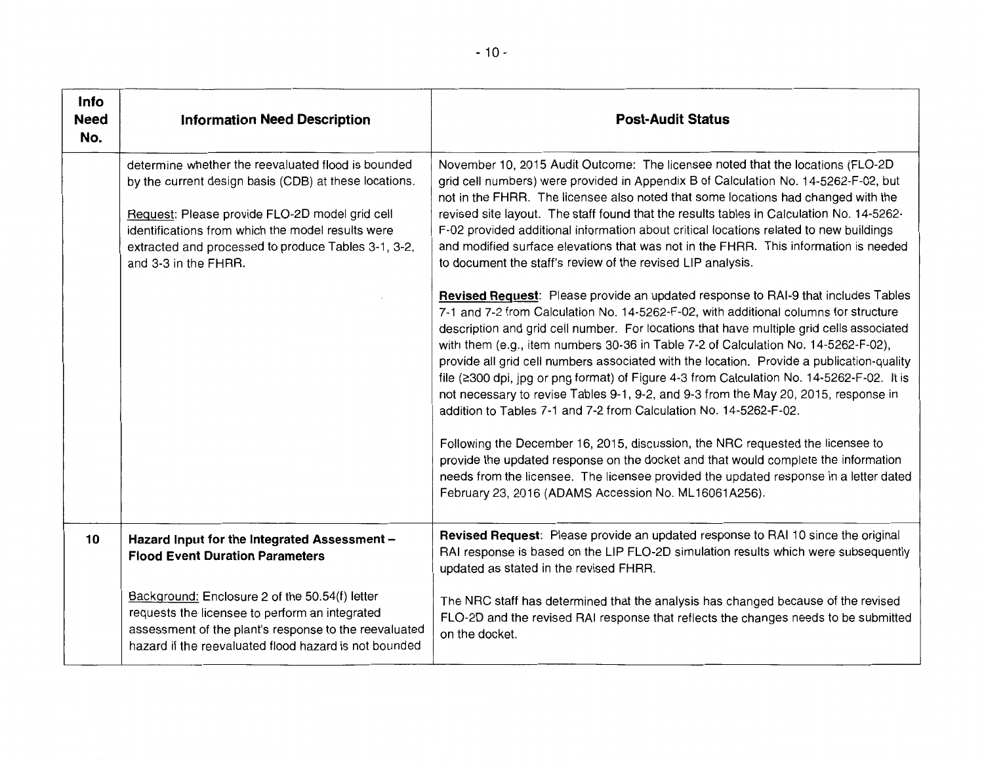| Info<br><b>Need</b><br>No. | <b>Information Need Description</b>                                                                                                                                                                                                                                                               | <b>Post-Audit Status</b>                                                                                                                                                                                                                                                                                                                                                                                                                                                                                                                                                                                                                                                                                                                                                                                                                                                                                                                                                                                                                                                                                                                                                                                                                                                                                                     |
|----------------------------|---------------------------------------------------------------------------------------------------------------------------------------------------------------------------------------------------------------------------------------------------------------------------------------------------|------------------------------------------------------------------------------------------------------------------------------------------------------------------------------------------------------------------------------------------------------------------------------------------------------------------------------------------------------------------------------------------------------------------------------------------------------------------------------------------------------------------------------------------------------------------------------------------------------------------------------------------------------------------------------------------------------------------------------------------------------------------------------------------------------------------------------------------------------------------------------------------------------------------------------------------------------------------------------------------------------------------------------------------------------------------------------------------------------------------------------------------------------------------------------------------------------------------------------------------------------------------------------------------------------------------------------|
|                            | determine whether the reevaluated flood is bounded<br>by the current design basis (CDB) at these locations.<br>Request: Please provide FLO-2D model grid cell<br>identifications from which the model results were<br>extracted and processed to produce Tables 3-1, 3-2,<br>and 3-3 in the FHRR. | November 10, 2015 Audit Outcome: The licensee noted that the locations (FLO-2D<br>grid cell numbers) were provided in Appendix B of Calculation No. 14-5262-F-02, but<br>not in the FHRR. The licensee also noted that some locations had changed with the<br>revised site layout. The staff found that the results tables in Calculation No. 14-5262-<br>F-02 provided additional information about critical locations related to new buildings<br>and modified surface elevations that was not in the FHRR. This information is needed<br>to document the staff's review of the revised LIP analysis.<br>Revised Request: Please provide an updated response to RAI-9 that includes Tables<br>7-1 and 7-2 from Calculation No. 14-5262-F-02, with additional columns for structure<br>description and grid cell number. For locations that have multiple grid cells associated<br>with them (e.g., item numbers 30-36 in Table 7-2 of Calculation No. 14-5262-F-02),<br>provide all grid cell numbers associated with the location. Provide a publication-quality<br>file (≥300 dpi, jpg or png format) of Figure 4-3 from Calculation No. 14-5262-F-02. It is<br>not necessary to revise Tables 9-1, 9-2, and 9-3 from the May 20, 2015, response in<br>addition to Tables 7-1 and 7-2 from Calculation No. 14-5262-F-02. |
|                            |                                                                                                                                                                                                                                                                                                   | Following the December 16, 2015, discussion, the NRC requested the licensee to<br>provide the updated response on the docket and that would complete the information<br>needs from the licensee. The licensee provided the updated response in a letter dated<br>February 23, 2016 (ADAMS Accession No. ML16061A256).                                                                                                                                                                                                                                                                                                                                                                                                                                                                                                                                                                                                                                                                                                                                                                                                                                                                                                                                                                                                        |
| 10                         | Hazard Input for the Integrated Assessment -<br><b>Flood Event Duration Parameters</b>                                                                                                                                                                                                            | Revised Request: Please provide an updated response to RAI 10 since the original<br>RAI response is based on the LIP FLO-2D simulation results which were subsequently<br>updated as stated in the revised FHRR.                                                                                                                                                                                                                                                                                                                                                                                                                                                                                                                                                                                                                                                                                                                                                                                                                                                                                                                                                                                                                                                                                                             |
|                            | Background: Enclosure 2 of the 50.54(f) letter<br>requests the licensee to perform an integrated<br>assessment of the plant's response to the reevaluated<br>hazard if the reevaluated flood hazard is not bounded                                                                                | The NRC staff has determined that the analysis has changed because of the revised<br>FLO-2D and the revised RAI response that reflects the changes needs to be submitted<br>on the docket.                                                                                                                                                                                                                                                                                                                                                                                                                                                                                                                                                                                                                                                                                                                                                                                                                                                                                                                                                                                                                                                                                                                                   |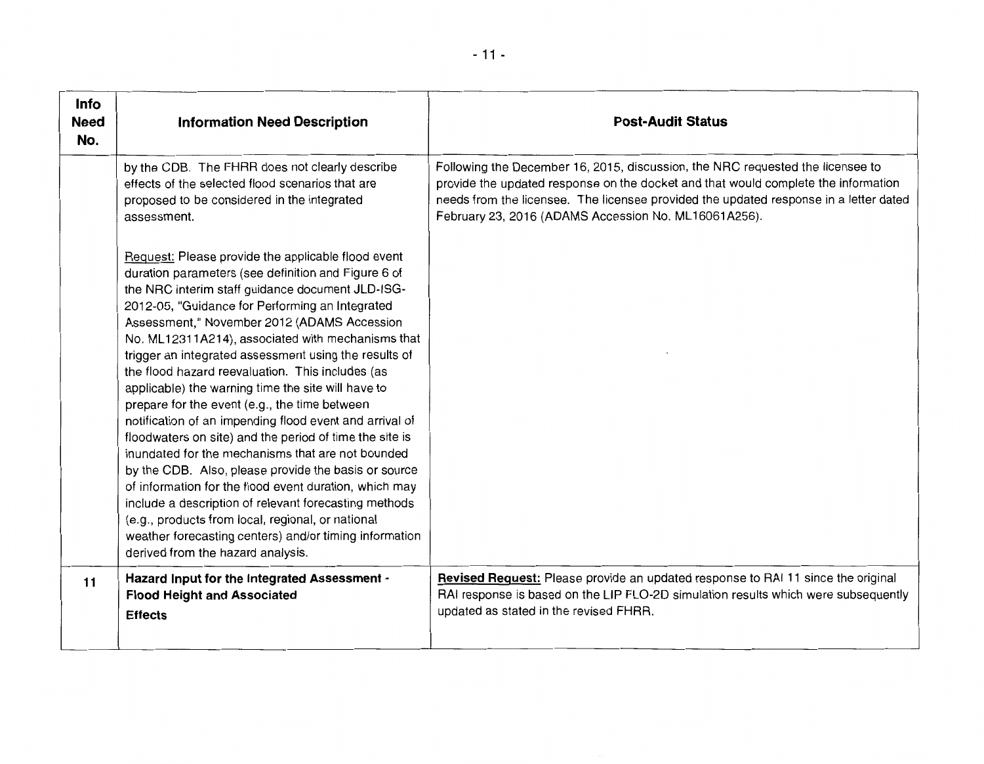| Info<br><b>Need</b><br>No. | <b>Information Need Description</b>                                                                                                                                                                                                                                                                                                                                                                                                                                                                                                                                                                                                                                                                                                                                                                                                                                                                                                                                                                                                                | <b>Post-Audit Status</b>                                                                                                                                                                                                                                                                                              |
|----------------------------|----------------------------------------------------------------------------------------------------------------------------------------------------------------------------------------------------------------------------------------------------------------------------------------------------------------------------------------------------------------------------------------------------------------------------------------------------------------------------------------------------------------------------------------------------------------------------------------------------------------------------------------------------------------------------------------------------------------------------------------------------------------------------------------------------------------------------------------------------------------------------------------------------------------------------------------------------------------------------------------------------------------------------------------------------|-----------------------------------------------------------------------------------------------------------------------------------------------------------------------------------------------------------------------------------------------------------------------------------------------------------------------|
|                            | by the CDB. The FHRR does not clearly describe<br>effects of the selected flood scenarios that are<br>proposed to be considered in the integrated<br>assessment.                                                                                                                                                                                                                                                                                                                                                                                                                                                                                                                                                                                                                                                                                                                                                                                                                                                                                   | Following the December 16, 2015, discussion, the NRC requested the licensee to<br>provide the updated response on the docket and that would complete the information<br>needs from the licensee. The licensee provided the updated response in a letter dated<br>February 23, 2016 (ADAMS Accession No. ML16061A256). |
|                            | Request: Please provide the applicable flood event<br>duration parameters (see definition and Figure 6 of<br>the NRC interim staff guidance document JLD-ISG-<br>2012-05, "Guidance for Performing an Integrated<br>Assessment," November 2012 (ADAMS Accession<br>No. ML12311A214), associated with mechanisms that<br>trigger an integrated assessment using the results of<br>the flood hazard reevaluation. This includes (as<br>applicable) the warning time the site will have to<br>prepare for the event (e.g., the time between<br>notification of an impending flood event and arrival of<br>floodwaters on site) and the period of time the site is<br>inundated for the mechanisms that are not bounded<br>by the CDB. Also, please provide the basis or source<br>of information for the flood event duration, which may<br>include a description of relevant forecasting methods<br>(e.g., products from local, regional, or national<br>weather forecasting centers) and/or timing information<br>derived from the hazard analysis. |                                                                                                                                                                                                                                                                                                                       |
| 11                         | Hazard Input for the Integrated Assessment -<br><b>Flood Height and Associated</b><br><b>Effects</b>                                                                                                                                                                                                                                                                                                                                                                                                                                                                                                                                                                                                                                                                                                                                                                                                                                                                                                                                               | Revised Request: Please provide an updated response to RAI 11 since the original<br>RAI response is based on the LIP FLO-2D simulation results which were subsequently<br>updated as stated in the revised FHRR.                                                                                                      |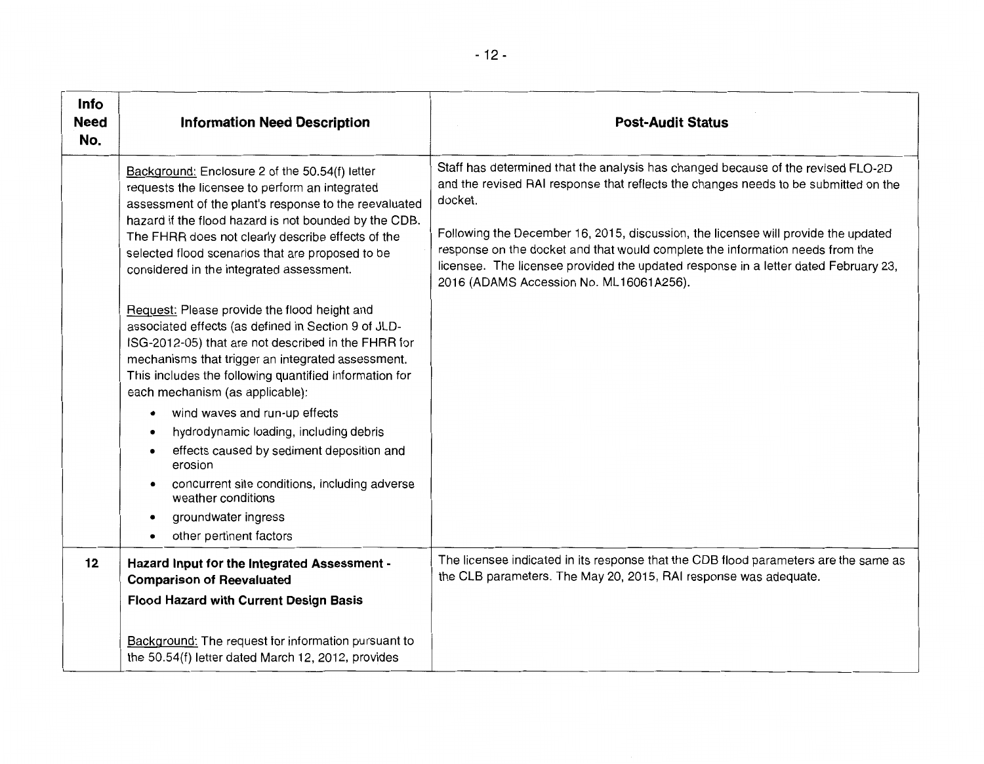| <b>Info</b><br><b>Need</b><br>No. | <b>Information Need Description</b>                                                                                                                                                                                                                                                                                                                                                                                                                                                                                                                                                                                                                                                                                                                                                                                                                                                                                                                                           | <b>Post-Audit Status</b>                                                                                                                                                                                                                                                                                                                                                                                                                                                                    |
|-----------------------------------|-------------------------------------------------------------------------------------------------------------------------------------------------------------------------------------------------------------------------------------------------------------------------------------------------------------------------------------------------------------------------------------------------------------------------------------------------------------------------------------------------------------------------------------------------------------------------------------------------------------------------------------------------------------------------------------------------------------------------------------------------------------------------------------------------------------------------------------------------------------------------------------------------------------------------------------------------------------------------------|---------------------------------------------------------------------------------------------------------------------------------------------------------------------------------------------------------------------------------------------------------------------------------------------------------------------------------------------------------------------------------------------------------------------------------------------------------------------------------------------|
|                                   | Background: Enclosure 2 of the 50.54(f) letter<br>requests the licensee to perform an integrated<br>assessment of the plant's response to the reevaluated<br>hazard if the flood hazard is not bounded by the CDB.<br>The FHRR does not clearly describe effects of the<br>selected flood scenarios that are proposed to be<br>considered in the integrated assessment.<br>Request: Please provide the flood height and<br>associated effects (as defined in Section 9 of JLD-<br>ISG-2012-05) that are not described in the FHRR for<br>mechanisms that trigger an integrated assessment.<br>This includes the following quantified information for<br>each mechanism (as applicable):<br>wind waves and run-up effects<br>$\bullet$<br>hydrodynamic loading, including debris<br>effects caused by sediment deposition and<br>$\bullet$<br>erosion<br>concurrent site conditions, including adverse<br>weather conditions<br>groundwater ingress<br>other pertinent factors | Staff has determined that the analysis has changed because of the revised FLO-2D<br>and the revised RAI response that reflects the changes needs to be submitted on the<br>docket.<br>Following the December 16, 2015, discussion, the licensee will provide the updated<br>response on the docket and that would complete the information needs from the<br>licensee. The licensee provided the updated response in a letter dated February 23,<br>2016 (ADAMS Accession No. ML16061A256). |
| 12                                | Hazard Input for the Integrated Assessment -<br><b>Comparison of Reevaluated</b><br><b>Flood Hazard with Current Design Basis</b><br>Background: The request for information pursuant to<br>the 50.54(f) letter dated March 12, 2012, provides                                                                                                                                                                                                                                                                                                                                                                                                                                                                                                                                                                                                                                                                                                                                | The licensee indicated in its response that the CDB flood parameters are the same as<br>the CLB parameters. The May 20, 2015, RAI response was adequate.                                                                                                                                                                                                                                                                                                                                    |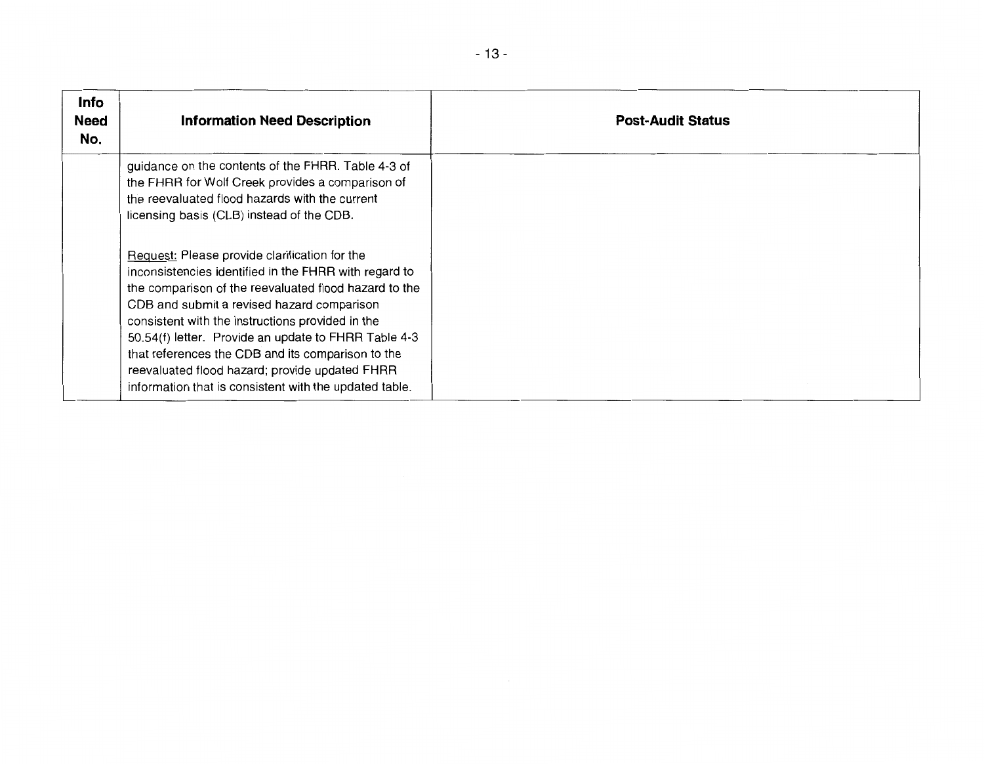| <b>Info</b><br><b>Need</b><br>No. | <b>Information Need Description</b>                                                                                                                                                                                                                                                                                                                                                                                                                                                        | <b>Post-Audit Status</b> |
|-----------------------------------|--------------------------------------------------------------------------------------------------------------------------------------------------------------------------------------------------------------------------------------------------------------------------------------------------------------------------------------------------------------------------------------------------------------------------------------------------------------------------------------------|--------------------------|
|                                   | guidance on the contents of the FHRR. Table 4-3 of<br>the FHRR for Wolf Creek provides a comparison of<br>the reevaluated flood hazards with the current<br>licensing basis (CLB) instead of the CDB.                                                                                                                                                                                                                                                                                      |                          |
|                                   | Request: Please provide clarification for the<br>inconsistencies identified in the FHRR with regard to<br>the comparison of the reevaluated flood hazard to the<br>CDB and submit a revised hazard comparison<br>consistent with the instructions provided in the<br>50.54(f) letter. Provide an update to FHRR Table 4-3<br>that references the CDB and its comparison to the<br>reevaluated flood hazard; provide updated FHRR<br>information that is consistent with the updated table. |                          |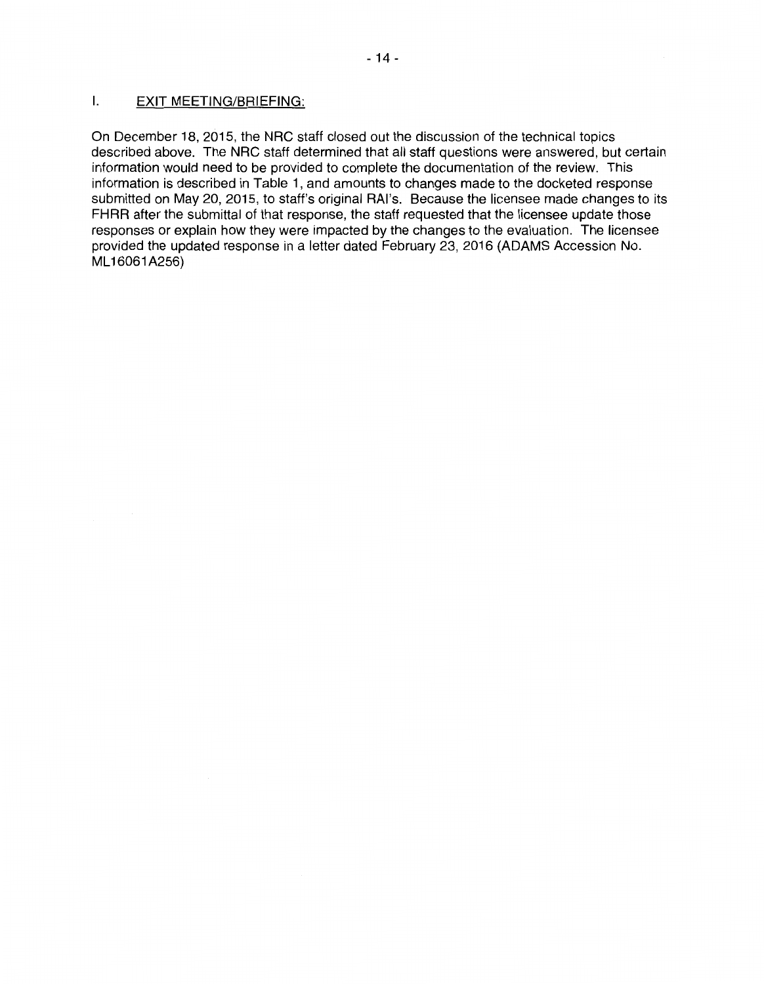#### I. EXIT MEETING/BRIEFING:

On December 18, 2015, the NRC staff closed out the discussion of the technical topics described above. The NRC staff determined that all staff questions were answered, but certain information would need to be provided to complete the documentation of the review. This information is described in Table **1,** and amounts to changes made to the docketed response submitted on May 20, 2015, to staff's original RAl's. Because the licensee made changes to its **FHRR** after the submittal of that response, the staff requested that the licensee update those responses or explain how they were impacted by the changes to the evaluation. The licensee provided the updated response in a letter dated February 23, 2016 (ADAMS Accession No. ML 16061 A256)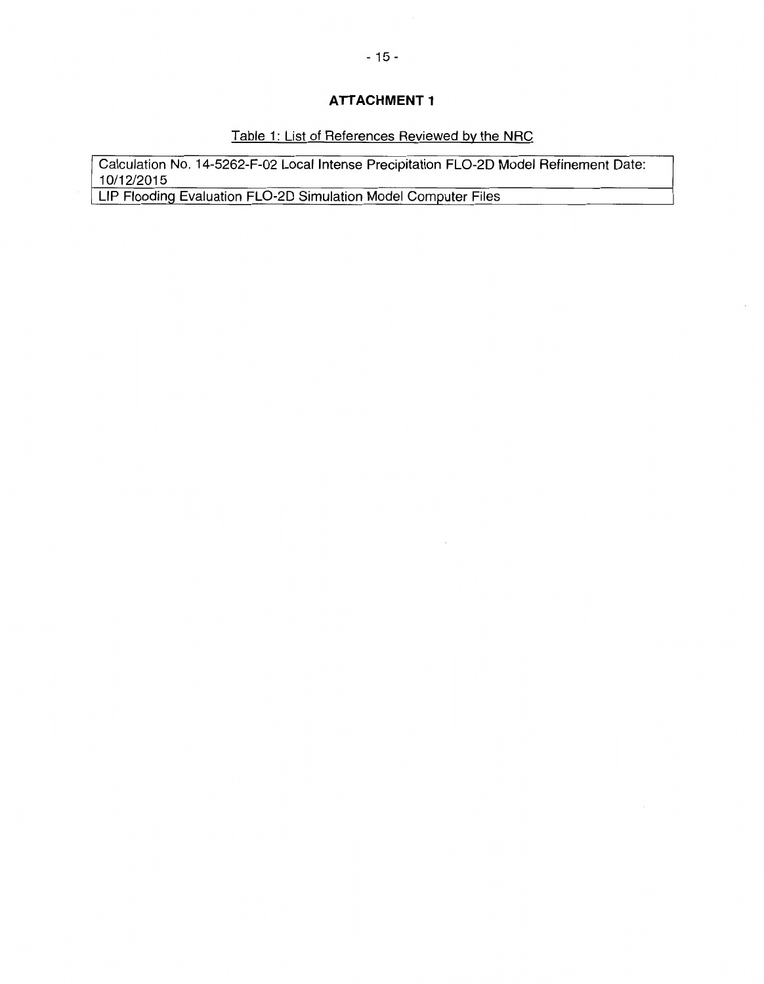# **ATTACHMENT 1**

# Table 1: List of References Reviewed by the NRC

 $\bar{\mathcal{A}}$ 

 $\epsilon$ 

Calculation No. 14-5262-F-02 Local Intense Precipitation FL0-20 Model Refinement Date: 10/12/2015

LIP Floodinq Evaluation FL0-20 Simulation Model Computer Files